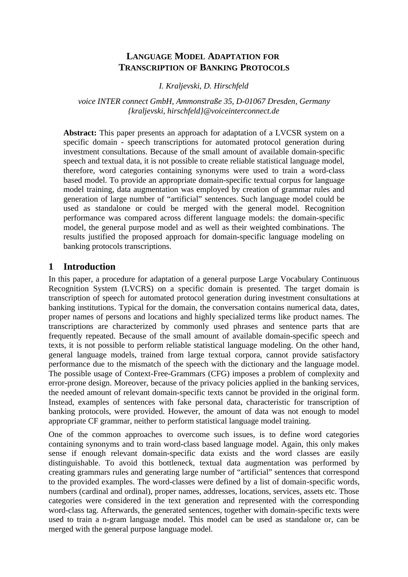# **LANGUAGE MODEL ADAPTATION FOR TRANSCRIPTION OF BANKING PROTOCOLS**

*I. Kraljevski, D. Hirschfeld*

*voice INTER connect GmbH, Ammonstraße 35, D-01067 Dresden, Germany {kraljevski, hirschfeld}@voiceinterconnect.de*

**Abstract:** This paper presents an approach for adaptation of a LVCSR system on a specific domain - speech transcriptions for automated protocol generation during investment consultations. Because of the small amount of available domain-specific speech and textual data, it is not possible to create reliable statistical language model, therefore, word categories containing synonyms were used to train a word-class based model. To provide an appropriate domain-specific textual corpus for language model training, data augmentation was employed by creation of grammar rules and generation of large number of "artificial" sentences. Such language model could be used as standalone or could be merged with the general model. Recognition performance was compared across different language models: the domain-specific model, the general purpose model and as well as their weighted combinations. The results justified the proposed approach for domain-specific language modeling on banking protocols transcriptions.

## **1 Introduction**

In this paper, a procedure for adaptation of a general purpose Large Vocabulary Continuous Recognition System (LVCRS) on a specific domain is presented. The target domain is transcription of speech for automated protocol generation during investment consultations at banking institutions. Typical for the domain, the conversation contains numerical data, dates, proper names of persons and locations and highly specialized terms like product names. The transcriptions are characterized by commonly used phrases and sentence parts that are frequently repeated. Because of the small amount of available domain-specific speech and texts, it is not possible to perform reliable statistical language modeling. On the other hand, general language models, trained from large textual corpora, cannot provide satisfactory performance due to the mismatch of the speech with the dictionary and the language model. The possible usage of Context-Free-Grammars (CFG) imposes a problem of complexity and error-prone design. Moreover, because of the privacy policies applied in the banking services, the needed amount of relevant domain-specific texts cannot be provided in the original form. Instead, examples of sentences with fake personal data, characteristic for transcription of banking protocols, were provided. However, the amount of data was not enough to model appropriate CF grammar, neither to perform statistical language model training.

One of the common approaches to overcome such issues, is to define word categories containing synonyms and to train word-class based language model. Again, this only makes sense if enough relevant domain-specific data exists and the word classes are easily distinguishable. To avoid this bottleneck, textual data augmentation was performed by creating grammars rules and generating large number of "artificial" sentences that correspond to the provided examples. The word-classes were defined by a list of domain-specific words, numbers (cardinal and ordinal), proper names, addresses, locations, services, assets etc. Those categories were considered in the text generation and represented with the corresponding word-class tag. Afterwards, the generated sentences, together with domain-specific texts were used to train a n-gram language model. This model can be used as standalone or, can be merged with the general purpose language model.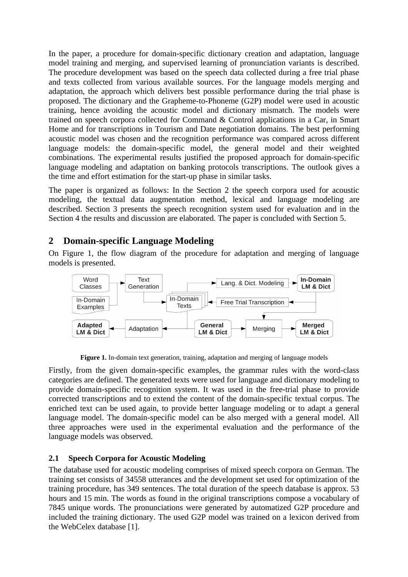In the paper, a procedure for domain-specific dictionary creation and adaptation, language model training and merging, and supervised learning of pronunciation variants is described. The procedure development was based on the speech data collected during a free trial phase and texts collected from various available sources. For the language models merging and adaptation, the approach which delivers best possible performance during the trial phase is proposed. The dictionary and the Grapheme-to-Phoneme (G2P) model were used in acoustic training, hence avoiding the acoustic model and dictionary mismatch. The models were trained on speech corpora collected for Command & Control applications in a Car, in Smart Home and for transcriptions in Tourism and Date negotiation domains. The best performing acoustic model was chosen and the recognition performance was compared across different language models: the domain-specific model, the general model and their weighted combinations. The experimental results justified the proposed approach for domain-specific language modeling and adaptation on banking protocols transcriptions. The outlook gives a the time and effort estimation for the start-up phase in similar tasks.

The paper is organized as follows: In the Section 2 the speech corpora used for acoustic modeling, the textual data augmentation method, lexical and language modeling are described. Section 3 presents the speech recognition system used for evaluation and in the Section 4 the results and discussion are elaborated. The paper is concluded with Section 5.

# **2 Domain-specific Language Modeling**

On Figure 1, the flow diagram of the procedure for adaptation and merging of language models is presented.



**Figure 1.** In-domain text generation, training, adaptation and merging of language models

Firstly, from the given domain-specific examples, the grammar rules with the word-class categories are defined. The generated texts were used for language and dictionary modeling to provide domain-specific recognition system. It was used in the free-trial phase to provide corrected transcriptions and to extend the content of the domain-specific textual corpus. The enriched text can be used again, to provide better language modeling or to adapt a general language model. The domain-specific model can be also merged with a general model. All three approaches were used in the experimental evaluation and the performance of the language models was observed.

## **2.1 Speech Corpora for Acoustic Modeling**

The database used for acoustic modeling comprises of mixed speech corpora on German. The training set consists of 34558 utterances and the development set used for optimization of the training procedure, has 349 sentences. The total duration of the speech database is approx. 53 hours and 15 min. The words as found in the original transcriptions compose a vocabulary of 7845 unique words. The pronunciations were generated by automatized G2P procedure and included the training dictionary. The used G2P model was trained on a lexicon derived from the WebCelex database [1].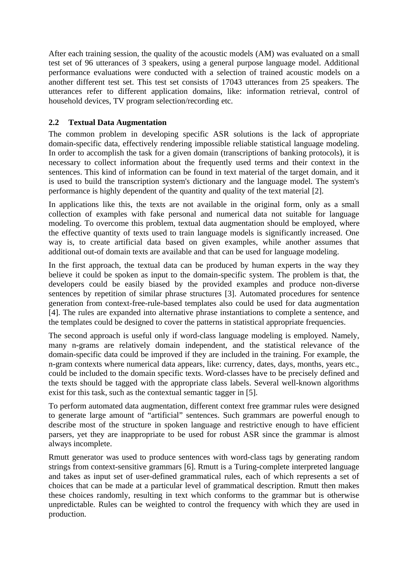After each training session, the quality of the acoustic models (AM) was evaluated on a small test set of 96 utterances of 3 speakers, using a general purpose language model. Additional performance evaluations were conducted with a selection of trained acoustic models on a another different test set. This test set consists of 17043 utterances from 25 speakers. The utterances refer to different application domains, like: information retrieval, control of household devices, TV program selection/recording etc.

#### **2.2 Textual Data Augmentation**

The common problem in developing specific ASR solutions is the lack of appropriate domain-specific data, effectively rendering impossible reliable statistical language modeling. In order to accomplish the task for a given domain (transcriptions of banking protocols), it is necessary to collect information about the frequently used terms and their context in the sentences. This kind of information can be found in text material of the target domain, and it is used to build the transcription system's dictionary and the language model. The system's performance is highly dependent of the quantity and quality of the text material [2].

In applications like this, the texts are not available in the original form, only as a small collection of examples with fake personal and numerical data not suitable for language modeling. To overcome this problem, textual data augmentation should be employed, where the effective quantity of texts used to train language models is significantly increased. One way is, to create artificial data based on given examples, while another assumes that additional out-of domain texts are available and that can be used for language modeling.

In the first approach, the textual data can be produced by human experts in the way they believe it could be spoken as input to the domain-specific system. The problem is that, the developers could be easily biased by the provided examples and produce non-diverse sentences by repetition of similar phrase structures [3]. Automated procedures for sentence generation from context-free-rule-based templates also could be used for data augmentation [4]. The rules are expanded into alternative phrase instantiations to complete a sentence, and the templates could be designed to cover the patterns in statistical appropriate frequencies.

The second approach is useful only if word-class language modeling is employed. Namely, many n-grams are relatively domain independent, and the statistical relevance of the domain-specific data could be improved if they are included in the training. For example, the n-gram contexts where numerical data appears, like: currency, dates, days, months, years etc., could be included to the domain specific texts. Word-classes have to be precisely defined and the texts should be tagged with the appropriate class labels. Several well-known algorithms exist for this task, such as the contextual semantic tagger in [5].

To perform automated data augmentation, different context free grammar rules were designed to generate large amount of "artificial" sentences. Such grammars are powerful enough to describe most of the structure in spoken language and restrictive enough to have efficient parsers, yet they are inappropriate to be used for robust ASR since the grammar is almost always incomplete.

Rmutt generator was used to produce sentences with word-class tags by generating random strings from context-sensitive grammars [6]. Rmutt is a Turing-complete interpreted language and takes as input set of user-defined grammatical rules, each of which represents a set of choices that can be made at a particular level of grammatical description. Rmutt then makes these choices randomly, resulting in text which conforms to the grammar but is otherwise unpredictable. Rules can be weighted to control the frequency with which they are used in production.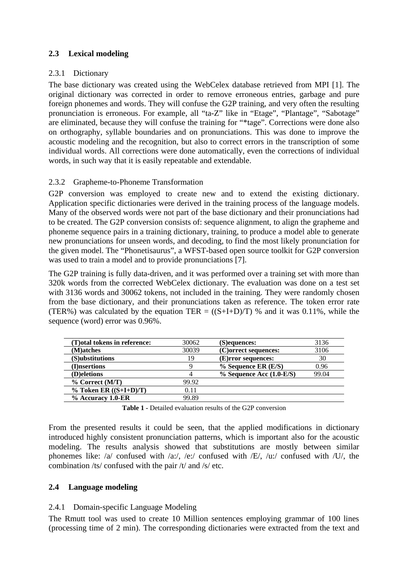## **2.3 Lexical modeling**

#### 2.3.1 Dictionary

The base dictionary was created using the WebCelex database retrieved from MPI [1]. The original dictionary was corrected in order to remove erroneous entries, garbage and pure foreign phonemes and words. They will confuse the G2P training, and very often the resulting pronunciation is erroneous. For example, all "ta-Z" like in "Etage", "Plantage", "Sabotage" are eliminated, because they will confuse the training for "\*tage". Corrections were done also on orthography, syllable boundaries and on pronunciations. This was done to improve the acoustic modeling and the recognition, but also to correct errors in the transcription of some individual words. All corrections were done automatically, even the corrections of individual words, in such way that it is easily repeatable and extendable.

## 2.3.2 Grapheme-to-Phoneme Transformation

G2P conversion was employed to create new and to extend the existing dictionary. Application specific dictionaries were derived in the training process of the language models. Many of the observed words were not part of the base dictionary and their pronunciations had to be created. The G2P conversion consists of: sequence alignment, to align the grapheme and phoneme sequence pairs in a training dictionary, training, to produce a model able to generate new pronunciations for unseen words, and decoding, to find the most likely pronunciation for the given model. The "Phonetisaurus", a WFST-based open source toolkit for G2P conversion was used to train a model and to provide pronunciations [7].

The G2P training is fully data-driven, and it was performed over a training set with more than 320k words from the corrected WebCelex dictionary. The evaluation was done on a test set with 3136 words and 30062 tokens, not included in the training. They were randomly chosen from the base dictionary, and their pronunciations taken as reference. The token error rate (TER%) was calculated by the equation TER =  $((S+I+D)/T)$  % and it was 0.11%, while the sequence (word) error was 0.96%.

| (T) otal tokens in reference: | 30062 | (S)equences:               | 3136  |
|-------------------------------|-------|----------------------------|-------|
| (M)atches                     | 30039 | (C) or rect sequences:     | 3106  |
| (S)ubstitutions               | 19    | (E)rror sequences:         | 30    |
| (I)nsertions                  | 9     | % Sequence ER (E/S)        | 0.96  |
| <b>(D)eletions</b>            |       | $%$ Sequence Acc (1.0-E/S) | 99.04 |
| % Correct (M/T)               | 99.92 |                            |       |
| % Token ER $((S+I+D)/T)$      | 0.11  |                            |       |
| % Accuracy 1.0-ER             | 99.89 |                            |       |

**Table 1 -** Detailed evaluation results of the G2P conversion

From the presented results it could be seen, that the applied modifications in dictionary introduced highly consistent pronunciation patterns, which is important also for the acoustic modeling. The results analysis showed that substitutions are mostly between similar phonemes like: /a/ confused with /a:/, /e:/ confused with /E/, /u:/ confused with /U/, the combination /ts/ confused with the pair /t/ and /s/ etc.

## **2.4 Language modeling**

#### 2.4.1 Domain-specific Language Modeling

The Rmutt tool was used to create 10 Million sentences employing grammar of 100 lines (processing time of 2 min). The corresponding dictionaries were extracted from the text and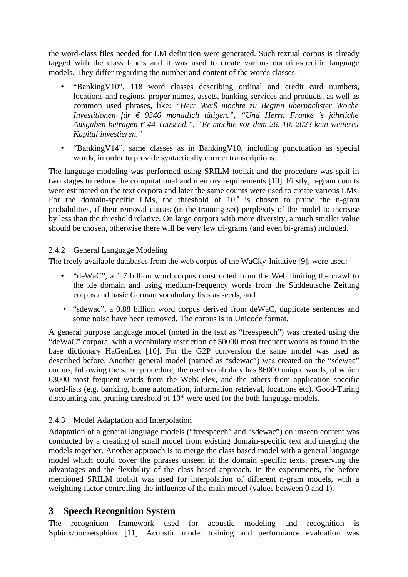the word-class files needed for LM definition were generated. Such textual corpus is already tagged with the class labels and it was used to create various domain-specific language models. They differ regarding the number and content of the words classes:

- "BankingV10", 118 word classes describing ordinal and credit card numbers, locations and regions, proper names, assets, banking services and products, as well as common used phrases, like: *"Herr Weiß möchte zu Beginn übernächster Woche Investitionen für € 9340 monatlich tätigen.", "Und Herrn Franke 's jährliche Ausgaben betragen € 44 Tausend.", "Er möchte vor dem 26. 10. 2023 kein weiteres Kapital investieren."*
- "BankingV14", same classes as in BankingV10, including punctuation as special words, in order to provide syntactically correct transcriptions.

The language modeling was performed using SRILM toolkit and the procedure was split in two stages to reduce the computational and memory requirements [10]. Firstly, n-gram counts were estimated on the text corpora and later the same counts were used to create various LMs. For the domain-specific LMs, the threshold of  $10^{-5}$  is chosen to prune the n-gram probabilities, if their removal causes (in the training set) perplexity of the model to increase by less than the threshold relative. On large corpora with more diversity, a much smaller value should be chosen, otherwise there will be very few tri-grams (and even bi-grams) included.

#### 2.4.2 General Language Modeling

The freely available databases from the web corpus of the WaCky-Initative [9], were used:

- "deWaC", a 1.7 billion word corpus constructed from the Web limiting the crawl to the .de domain and using medium-frequency words from the Süddeutsche Zeitung corpus and basic German vocabulary lists as seeds, and
- "sdewac", a 0.88 billion word corpus derived from deWaC, duplicate sentences and some noise have been removed. The corpus is in Unicode format.

A general purpose language model (noted in the text as "freespeech") was created using the "deWaC" corpora, with a vocabulary restriction of 50000 most frequent words as found in the base dictionary HaGenLex [10]. For the G2P conversion the same model was used as described before. Another general model (named as "sdewac") was created on the "sdewac" corpus, following the same procedure, the used vocabulary has 86000 unique words, of which 63000 most frequent words from the WebCelex, and the others from application specific word-lists (e.g. banking, home automation, information retrieval, locations etc). Good-Turing discounting and pruning threshold of  $10^{-8}$  were used for the both language models.

#### 2.4.3 Model Adaptation and Interpolation

Adaptation of a general language models ("freespeech" and "sdewac") on unseen content was conducted by a creating of small model from existing domain-specific text and merging the models together. Another approach is to merge the class based model with a general language model which could cover the phrases unseen in the domain specific texts, preserving the advantages and the flexibility of the class based approach. In the experiments, the before mentioned SRILM toolkit was used for interpolation of different n-gram models, with a weighting factor controlling the influence of the main model (values between 0 and 1).

## **3 Speech Recognition System**

The recognition framework used for acoustic modeling and recognition is Sphinx/pocketsphinx [11]. Acoustic model training and performance evaluation was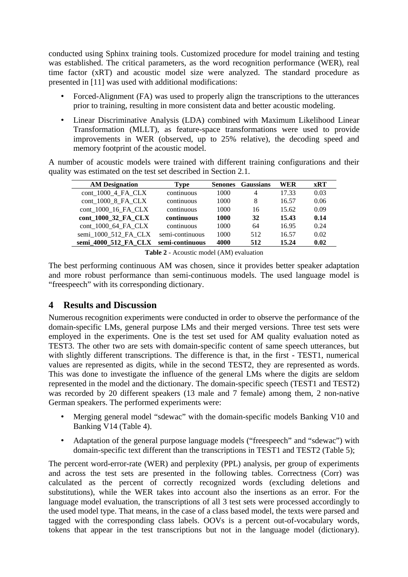conducted using Sphinx training tools. Customized procedure for model training and testing was established. The critical parameters, as the word recognition performance (WER), real time factor (xRT) and acoustic model size were analyzed. The standard procedure as presented in [11] was used with additional modifications:

- Forced-Alignment (FA) was used to properly align the transcriptions to the utterances prior to training, resulting in more consistent data and better acoustic modeling.
- Linear Discriminative Analysis (LDA) combined with Maximum Likelihood Linear Transformation (MLLT), as feature-space transformations were used to provide improvements in WER (observed, up to 25% relative), the decoding speed and memory footprint of the acoustic model.

A number of acoustic models were trained with different training configurations and their quality was estimated on the test set described in Section 2.1.

| <b>AM Designation</b> | Tvpe            | Senones | <b>Gaussians</b> | WER   | xRT  |
|-----------------------|-----------------|---------|------------------|-------|------|
| cont 1000 4 FA CLX    | continuous      | 1000    | 4                | 17.33 | 0.03 |
| cont 1000 8 FA CLX    | continuous      | 1000    | 8                | 16.57 | 0.06 |
| cont 1000 16 FA CLX   | continuous      | 1000    | 16               | 15.62 | 0.09 |
| cont_1000_32_FA_CLX   | continuous      | 1000    | 32               | 15.43 | 0.14 |
| cont 1000 64 FA CLX   | continuous      | 1000    | 64               | 16.95 | 0.24 |
| semi 1000 512 FA CLX  | semi-continuous | 1000    | 512              | 16.57 | 0.02 |
| semi 4000 512 FA CLX  | semi-continuous | 4000    | 512              | 15.24 | 0.02 |

**Table 2** - Acoustic model (AM) evaluation

The best performing continuous AM was chosen, since it provides better speaker adaptation and more robust performance than semi-continuous models. The used language model is "freespeech" with its corresponding dictionary.

## **4 Results and Discussion**

Numerous recognition experiments were conducted in order to observe the performance of the domain-specific LMs, general purpose LMs and their merged versions. Three test sets were employed in the experiments. One is the test set used for AM quality evaluation noted as TEST3. The other two are sets with domain-specific content of same speech utterances, but with slightly different transcriptions. The difference is that, in the first - TEST1, numerical values are represented as digits, while in the second TEST2, they are represented as words. This was done to investigate the influence of the general LMs where the digits are seldom represented in the model and the dictionary. The domain-specific speech (TEST1 and TEST2) was recorded by 20 different speakers (13 male and 7 female) among them, 2 non-native German speakers. The performed experiments were:

- Merging general model "sdewac" with the domain-specific models Banking V10 and Banking V14 (Table 4).
- Adaptation of the general purpose language models ("freespeech" and "sdewac") with domain-specific text different than the transcriptions in TEST1 and TEST2 (Table 5);

The percent word-error-rate (WER) and perplexity (PPL) analysis, per group of experiments and across the test sets are presented in the following tables. Correctness (Corr) was calculated as the percent of correctly recognized words (excluding deletions and substitutions), while the WER takes into account also the insertions as an error. For the language model evaluation, the transcriptions of all 3 test sets were processed accordingly to the used model type. That means, in the case of a class based model, the texts were parsed and tagged with the corresponding class labels. OOVs is a percent out-of-vocabulary words, tokens that appear in the test transcriptions but not in the language model (dictionary).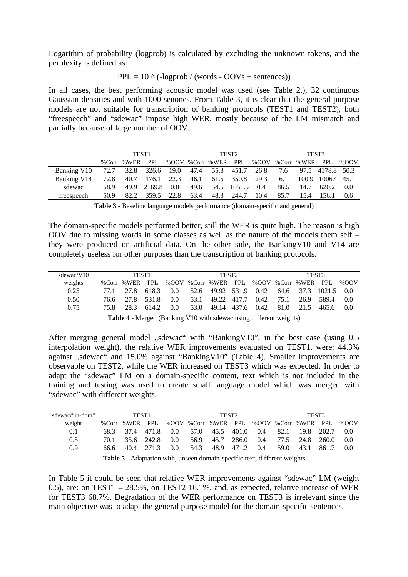Logarithm of probability (logprob) is calculated by excluding the unknown tokens, and the perplexity is defined as:

$$
PPL = 10 \land (-logprob / (words - OOVs + sentences))
$$

In all cases, the best performing acoustic model was used (see Table 2.), 32 continuous Gaussian densities and with 1000 senones. From Table 3, it is clear that the general purpose models are not suitable for transcription of banking protocols (TEST1 and TEST2), both "freespeech" and "sdewac" impose high WER, mostly because of the LM mismatch and partially because of large number of OOV.

|             | TEST <sub>1</sub> |                                 |        |                 | TEST2 |                      |             |                                              | TEST3 |      |                  |      |
|-------------|-------------------|---------------------------------|--------|-----------------|-------|----------------------|-------------|----------------------------------------------|-------|------|------------------|------|
|             |                   | %Corr %WER PPL                  |        |                 |       |                      |             | %OOV %Corr %WER PPL %OOV %Corr %WER PPL %OOV |       |      |                  |      |
| Banking V10 | 72.7              | 32.8 326.6 19.0 47.4 55.3 451.7 |        |                 |       |                      |             | 26.8                                         | 7.6   |      | 97.5 4178.8 50.3 |      |
| Banking V14 | 72.8              |                                 |        | 40.7 176.1 22.3 |       | 46.1 61.5 350.8 29.3 |             |                                              | 6.1   |      | 100.9 10067      | 45.1 |
| sdewac      | 58.9              | 49.9                            | 2169.8 | $0.0^{\circ}$   | 49.6  |                      | 54.5 1051.5 | 0.4                                          | 86.5  | 14.7 | 620.2            | 0.0  |
| freespeech  | 50.9              | 82.2                            | 359.5  | 22.8            | 63.4  |                      | 48.3 244.7  | 10.4                                         | 85.7  | 15.4 | 156.1            | -0.6 |

|  | Table 3 - Baseline language models performance (domain-specific and general) |  |  |
|--|------------------------------------------------------------------------------|--|--|
|  |                                                                              |  |  |

The domain-specific models performed better, still the WER is quite high. The reason is high OOV due to missing words in some classes as well as the nature of the models them self – they were produced on artificial data. On the other side, the BankingV10 and V14 are completely useless for other purposes than the transcription of banking protocols.

| sdewac/V10 | TEST <sub>1</sub> |                |       |               |      | TEST2          |       |      | TEST3 |            |        |       |
|------------|-------------------|----------------|-------|---------------|------|----------------|-------|------|-------|------------|--------|-------|
| weights    |                   | %Corr %WER PPL |       | %00V          |      | %Corr %WER PPL |       | %00V |       | %Corr %WER | PPI.   | %00V  |
| 0.25       | 77 1              | 27 R           | 618.3 | $0.0^{\circ}$ | 52.6 | 49.92 531.9    |       | 0.42 | 64.6  | 37.3       | 1021.5 | - 0.0 |
| 0.50       | 76.6              | 27.8           | 531.8 | 0.0           | 53.1 | 49.22          | 417.7 | 0.42 | 75.1  | 26.9       | 589.4  | -0.0  |
| 0.75       | 75.8              | 28.3           | 614.2 | 0.0           | 53.0 | 49.14          | 437.6 | 0.42 | 81.0  | 21.5       | 465.6  | 0.0   |

**Table 4** - Merged (Banking V10 with sdewac using different weights)

After merging general model "sdewac" with "BankingV10", in the best case (using  $0.5$ ) interpolation weight), the relative WER improvements evaluated on TEST1, were: 44.3% against "sdewac" and 15.0% against "BankingV10" (Table 4). Smaller improvements are observable on TEST2, while the WER increased on TEST3 which was expected. In order to adapt the "sdewac" LM on a domain-specific content, text which is not included in the training and testing was used to create small language model which was merged with "sdewac" with different weights.

| sdewac/"in-dom" | TEST1 |                |       |               | TEST2 |                |       |      | TEST3 |                |            |      |
|-----------------|-------|----------------|-------|---------------|-------|----------------|-------|------|-------|----------------|------------|------|
| weight          |       | %Corr %WER PPL |       | %00V          |       | %Corr %WER PPL |       | %00V |       | %Corr %WER PPL |            | %00V |
| $0.1\,$         | 68.3  | 37.4           | 471.8 | 0.0           | 57.0  | 45.5           | 401.0 | 0.4  | 82.1  |                | 19.8 202.7 | 0.0  |
| 0.5             | 70.1  | 35.6           | 242.8 | $0.0^{\circ}$ | 56.9  | 45.7           | 286.0 | 0.4  | 77.5  | 24.8           | - 260.0    | 0.0  |
| 0.9             | 66.6  | 40.4           | 271.3 | 0.0           | 54.3  | 48.9           | 471.2 | 0.4  | 59.0  | 43.1           | 861.7      | 0.0  |

**Table 5 -** Adaptation with, unseen domain-specific text, different weights

In Table 5 it could be seen that relative WER improvements against "sdewac" LM (weight 0.5), are: on TEST1 – 28.5%, on TEST2 16.1%, and, as expected, relative increase of WER for TEST3 68.7%. Degradation of the WER performance on TEST3 is irrelevant since the main objective was to adapt the general purpose model for the domain-specific sentences.